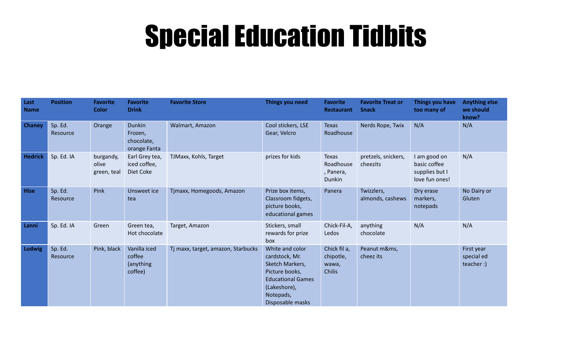## Special Education Tidbits

| Last<br><b>Name</b> | <b>Position</b>     | <b>Favorite</b><br><b>Color</b>   | <b>Favorite</b><br><b>Drink</b>                        | <b>Favorite Store</b>              | Things you need                                                                                                                                     | <b>Favorite</b><br><b>Restaurant</b>                | <b>Favorite Treat or</b><br><b>Snack</b> | Things you have<br>too many of                                   | <b>Anything else</b><br>we should<br>know? |
|---------------------|---------------------|-----------------------------------|--------------------------------------------------------|------------------------------------|-----------------------------------------------------------------------------------------------------------------------------------------------------|-----------------------------------------------------|------------------------------------------|------------------------------------------------------------------|--------------------------------------------|
| <b>Chaney</b>       | Sp. Ed.<br>Resource | Orange                            | <b>Dunkin</b><br>Frozen,<br>chocolate,<br>orange Fanta | Walmart, Amazon                    | Cool stickers, LSE<br>Gear, Velcro                                                                                                                  | <b>Texas</b><br>Roadhouse                           | Nerds Rope, Twix                         | N/A                                                              | N/A                                        |
| <b>Hedrick</b>      | Sp. Ed. IA          | burgandy,<br>olive<br>green, teal | Earl Grey tea,<br>iced coffee,<br>Diet Coke            | TJMaxx, Kohls, Target              | prizes for kids                                                                                                                                     | <b>Texas</b><br>Roadhouse<br>, Panera,<br>Dunkin    | pretzels, snickers,<br>cheezits          | I am good on<br>basic coffee<br>supplies but I<br>love fun ones! | N/A                                        |
| <b>Hise</b>         | Sp. Ed.<br>Resource | Pink                              | Unsweet ice<br>tea                                     | Tjmaxx, Homegoods, Amazon          | Prize box items,<br>Classroom fidgets,<br>picture books,<br>educational games                                                                       | Panera                                              | Twizzlers,<br>almonds, cashews           | Dry erase<br>markers,<br>notepads                                | No Dairy or<br>Gluten                      |
| Lanni               | Sp. Ed. IA          | Green                             | Green tea,<br>Hot chocolate                            | Target, Amazon                     | Stickers, small<br>rewards for prize<br>box                                                                                                         | Chick-Fil-A,<br>Ledos                               | anything<br>chocolate                    | N/A                                                              | N/A                                        |
| Ludwig              | Sp. Ed.<br>Resource | Pink, black                       | Vanilla iced<br>coffee<br>(anything<br>coffee)         | Tj maxx, target, amazon, Starbucks | White and color<br>cardstock, Mr.<br>Sketch Markers,<br>Picture books,<br><b>Educational Games</b><br>(Lakeshore),<br>Notepads,<br>Disposable masks | Chick fil a,<br>chipotle,<br>wawa,<br><b>Chilis</b> | Peanut m&ms,<br>cheez its                |                                                                  | First year<br>special ed<br>teacher :)     |